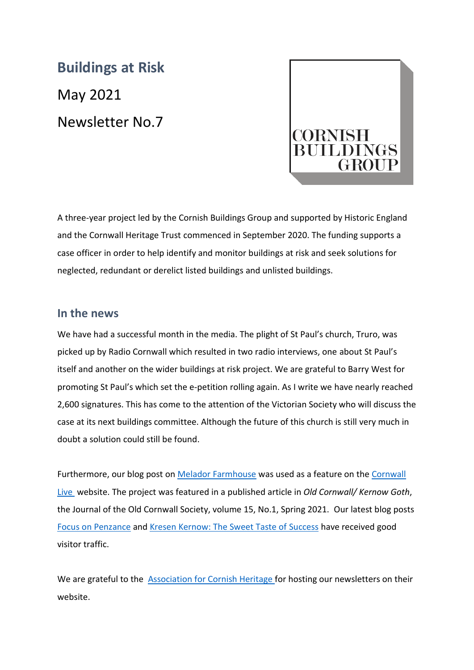**Buildings at Risk**  May 2021 Newsletter No.7



A three-year project led by the Cornish Buildings Group and supported by Historic England and the Cornwall Heritage Trust commenced in September 2020. The funding supports a case officer in order to help identify and monitor buildings at risk and seek solutions for neglected, redundant or derelict listed buildings and unlisted buildings.

#### **In the news**

We have had a successful month in the media. The plight of St Paul's church, Truro, was picked up by Radio Cornwall which resulted in two radio interviews, one about St Paul's itself and another on the wider buildings at risk project. We are grateful to Barry West for promoting St Paul's which set the e-petition rolling again. As I write we have nearly reached 2,600 signatures. This has come to the attention of the Victorian Society who will discuss the case at its next buildings committee. Although the future of this church is still very much in doubt a solution could still be found.

Furthermore, our blog post on [Melador Farmhouse](file:///C:/Users/phold/Documents/CBG%20B@R/newsletters/here) was used as a feature on the [Cornwall](file:///C:/Users/phold/Documents/CBG%20B@R/newsletters/here)  [Live](file:///C:/Users/phold/Documents/CBG%20B@R/newsletters/here) website. The project was featured in a published article in *Old Cornwall/ Kernow Goth*, the Journal of the Old Cornwall Society, volume 15, No.1, Spring 2021. Our latest blog posts [Focus on Penzance](https://buildingsatrisk.wordpress.com/2021/05/02/focus-on-penzance/) and [Kresen Kernow: The Sweet Taste of](https://buildingsatrisk.wordpress.com/2021/05/07/kresen-kernow-the-sweet-taste-of-success/) Success have received good visitor traffic.

We are grateful to the [Association for Cornish Heritage f](Association%20of%20Cornish%20Heritage)or hosting our newsletters on their website.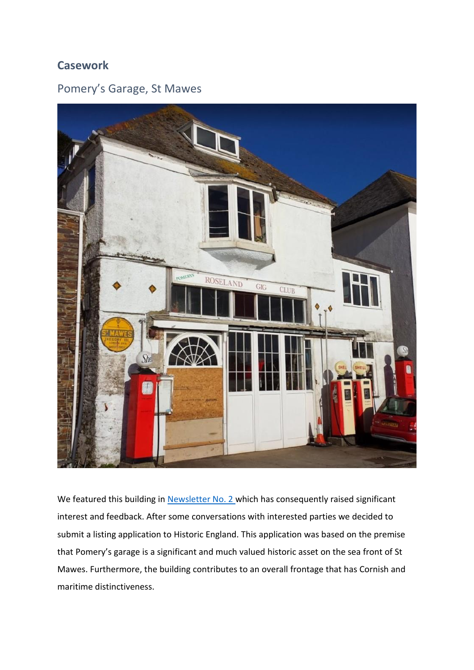## **Casework**

# Pomery's Garage, St Mawes



We featured this building in [Newsletter No. 2 w](https://buildingsatrisk.wordpress.com/2020/11/27/newsletter-no-2/)hich has consequently raised significant interest and feedback. After some conversations with interested parties we decided to submit a listing application to Historic England. This application was based on the premise that Pomery's garage is a significant and much valued historic asset on the sea front of St Mawes. Furthermore, the building contributes to an overall frontage that has Cornish and maritime distinctiveness.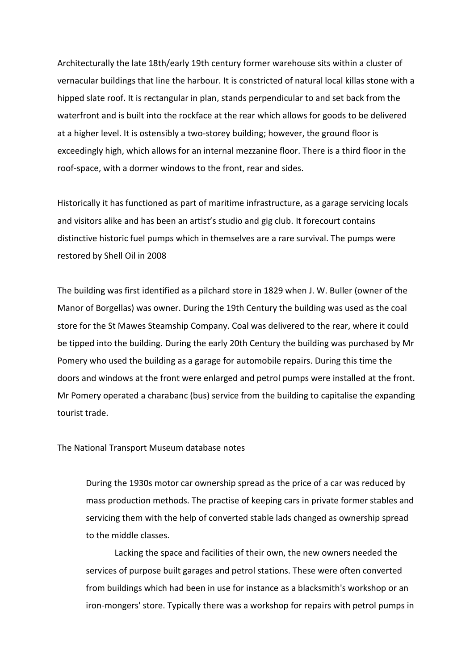Architecturally the late 18th/early 19th century former warehouse sits within a cluster of vernacular buildings that line the harbour. It is constricted of natural local killas stone with a hipped slate roof. It is rectangular in plan, stands perpendicular to and set back from the waterfront and is built into the rockface at the rear which allows for goods to be delivered at a higher level. It is ostensibly a two-storey building; however, the ground floor is exceedingly high, which allows for an internal mezzanine floor. There is a third floor in the roof-space, with a dormer windows to the front, rear and sides.

Historically it has functioned as part of maritime infrastructure, as a garage servicing locals and visitors alike and has been an artist's studio and gig club. It forecourt contains distinctive historic fuel pumps which in themselves are a rare survival. The pumps were restored by Shell Oil in 2008

The building was first identified as a pilchard store in 1829 when J. W. Buller (owner of the Manor of Borgellas) was owner. During the 19th Century the building was used as the coal store for the St Mawes Steamship Company. Coal was delivered to the rear, where it could be tipped into the building. During the early 20th Century the building was purchased by Mr Pomery who used the building as a garage for automobile repairs. During this time the doors and windows at the front were enlarged and petrol pumps were installed at the front. Mr Pomery operated a charabanc (bus) service from the building to capitalise the expanding tourist trade.

The National Transport Museum database notes

During the 1930s motor car ownership spread as the price of a car was reduced by mass production methods. The practise of keeping cars in private former stables and servicing them with the help of converted stable lads changed as ownership spread to the middle classes.

Lacking the space and facilities of their own, the new owners needed the services of purpose built garages and petrol stations. These were often converted from buildings which had been in use for instance as a blacksmith's workshop or an iron-mongers' store. Typically there was a workshop for repairs with petrol pumps in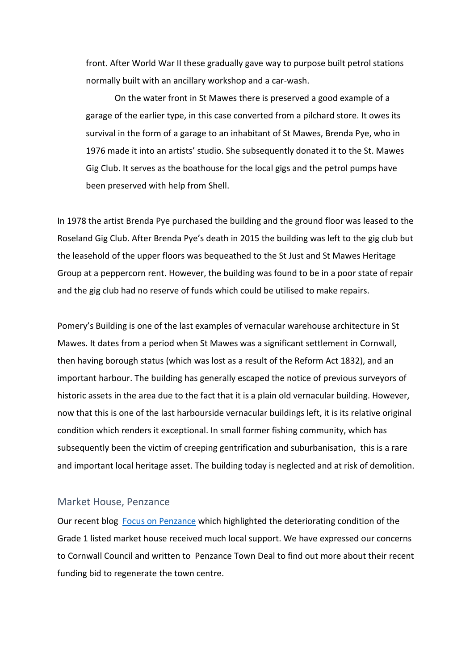front. After World War II these gradually gave way to purpose built petrol stations normally built with an ancillary workshop and a car-wash.

On the water front in St Mawes there is preserved a good example of a garage of the earlier type, in this case converted from a pilchard store. It owes its survival in the form of a garage to an inhabitant of St Mawes, Brenda Pye, who in 1976 made it into an artists' studio. She subsequently donated it to the St. Mawes Gig Club. It serves as the boathouse for the local gigs and the petrol pumps have been preserved with help from Shell.

In 1978 the artist Brenda Pye purchased the building and the ground floor was leased to the Roseland Gig Club. After Brenda Pye's death in 2015 the building was left to the gig club but the leasehold of the upper floors was bequeathed to the St Just and St Mawes Heritage Group at a peppercorn rent. However, the building was found to be in a poor state of repair and the gig club had no reserve of funds which could be utilised to make repairs.

Pomery's Building is one of the last examples of vernacular warehouse architecture in St Mawes. It dates from a period when St Mawes was a significant settlement in Cornwall, then having borough status (which was lost as a result of the Reform Act 1832), and an important harbour. The building has generally escaped the notice of previous surveyors of historic assets in the area due to the fact that it is a plain old vernacular building. However, now that this is one of the last harbourside vernacular buildings left, it is its relative original condition which renders it exceptional. In small former fishing community, which has subsequently been the victim of creeping gentrification and suburbanisation, this is a rare and important local heritage asset. The building today is neglected and at risk of demolition.

#### Market House, Penzance

Our recent blog [Focus on Penzance](https://buildingsatrisk.wordpress.com/2021/05/02/focus-on-penzance/) which highlighted the deteriorating condition of the Grade 1 listed market house received much local support. We have expressed our concerns to Cornwall Council and written to Penzance Town Deal to find out more about their recent funding bid to regenerate the town centre.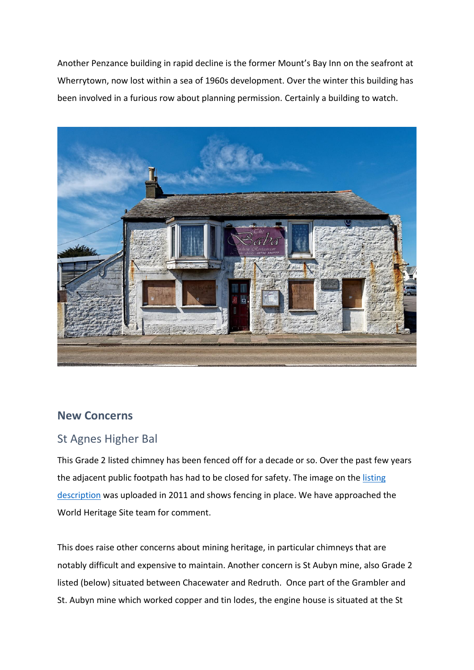Another Penzance building in rapid decline is the former Mount's Bay Inn on the seafront at Wherrytown, now lost within a sea of 1960s development. Over the winter this building has been involved in a furious row about planning permission. Certainly a building to watch.



#### **New Concerns**

#### St Agnes Higher Bal

This Grade 2 listed chimney has been fenced off for a decade or so. Over the past few years the adjacent public footpath has had to be closed for safety. The image on the listing [description](https://britishlistedbuildings.co.uk/101141507-chimney-at-sw712510-st-agnes#.YJvusahKiUk) was uploaded in 2011 and shows fencing in place. We have approached the World Heritage Site team for comment.

This does raise other concerns about mining heritage, in particular chimneys that are notably difficult and expensive to maintain. Another concern is St Aubyn mine, also Grade 2 listed (below) situated between Chacewater and Redruth. Once part of the Grambler and St. Aubyn mine which worked copper and tin lodes, the engine house is situated at the St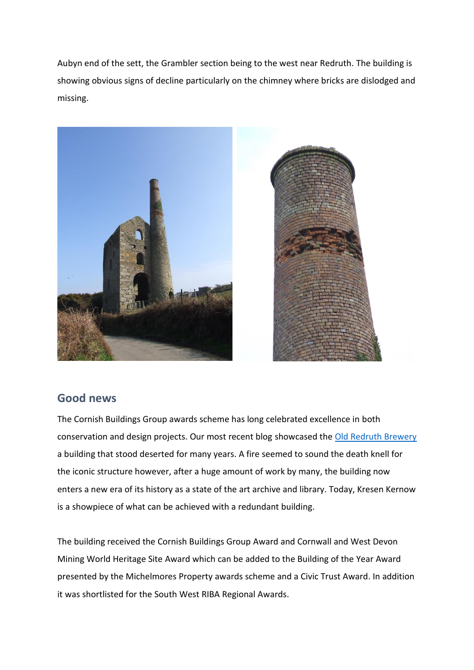Aubyn end of the sett, the Grambler section being to the west near Redruth. The building is showing obvious signs of decline particularly on the chimney where bricks are dislodged and missing.



#### **Good news**

The Cornish Buildings Group awards scheme has long celebrated excellence in both conservation and design projects. Our most recent blog showcased the [Old Redruth Brewery](https://buildingsatrisk.wordpress.com/2021/05/07/kresen-kernow-the-sweet-taste-of-success/) a building that stood deserted for many years. A fire seemed to sound the death knell for the iconic structure however, after a huge amount of work by many, the building now enters a new era of its history as a state of the art archive and library. Today, Kresen Kernow is a showpiece of what can be achieved with a redundant building.

The building received the Cornish Buildings Group Award and Cornwall and West Devon Mining World Heritage Site Award which can be added to the Building of the Year Award presented by the Michelmores Property awards scheme and a Civic Trust Award. In addition it was shortlisted for the South West RIBA Regional Awards.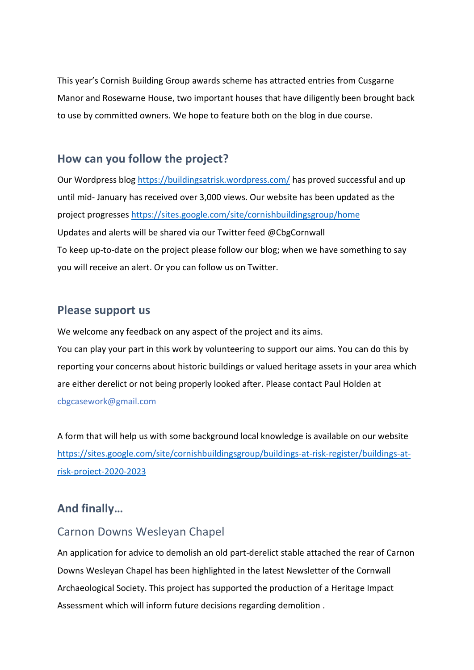This year's Cornish Building Group awards scheme has attracted entries from Cusgarne Manor and Rosewarne House, two important houses that have diligently been brought back to use by committed owners. We hope to feature both on the blog in due course.

### **How can you follow the project?**

Our Wordpress blog<https://buildingsatrisk.wordpress.com/> has proved successful and up until mid- January has received over 3,000 views. Our website has been updated as the project progresses <https://sites.google.com/site/cornishbuildingsgroup/home> Updates and alerts will be shared via our Twitter feed @CbgCornwall To keep up-to-date on the project please follow our blog; when we have something to say you will receive an alert. Or you can follow us on Twitter.

#### **Please support us**

We welcome any feedback on any aspect of the project and its aims. You can play your part in this work by volunteering to support our aims. You can do this by reporting your concerns about historic buildings or valued heritage assets in your area which are either derelict or not being properly looked after. Please contact Paul Holden at cbgcasework@gmail.com

A form that will help us with some background local knowledge is available on our website [https://sites.google.com/site/cornishbuildingsgroup/buildings-at-risk-register/buildings-at](https://sites.google.com/site/cornishbuildingsgroup/buildings-at-risk-register/buildings-at-risk-project-2020-2023)[risk-project-2020-2023](https://sites.google.com/site/cornishbuildingsgroup/buildings-at-risk-register/buildings-at-risk-project-2020-2023)

#### **And finally…**

#### Carnon Downs Wesleyan Chapel

An application for advice to demolish an old part-derelict stable attached the rear of Carnon Downs Wesleyan Chapel has been highlighted in the latest Newsletter of the Cornwall Archaeological Society. This project has supported the production of a Heritage Impact Assessment which will inform future decisions regarding demolition .